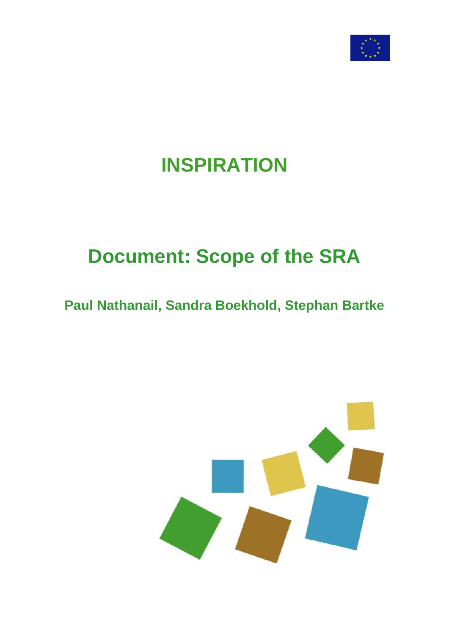

## **INSPIRATION**

# **Document: Scope of the SRA**

## **Paul Nathanail, Sandra Boekhold, Stephan Bartke**

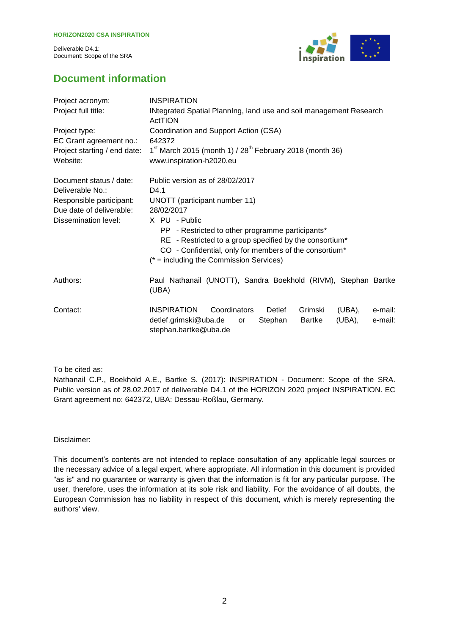

## **Document information**

| Project acronym:             | <b>INSPIRATION</b>                                                                                                                                                                                                                  |  |  |  |
|------------------------------|-------------------------------------------------------------------------------------------------------------------------------------------------------------------------------------------------------------------------------------|--|--|--|
| Project full title:          | INtegrated Spatial Planning, land use and soil management Research<br>ActTION                                                                                                                                                       |  |  |  |
| Project type:                | Coordination and Support Action (CSA)                                                                                                                                                                                               |  |  |  |
| EC Grant agreement no.:      | 642372                                                                                                                                                                                                                              |  |  |  |
| Project starting / end date: | $1st$ March 2015 (month 1) / 28 <sup>th</sup> February 2018 (month 36)                                                                                                                                                              |  |  |  |
| Website:                     | www.inspiration-h2020.eu                                                                                                                                                                                                            |  |  |  |
| Document status / date:      | Public version as of 28/02/2017                                                                                                                                                                                                     |  |  |  |
| Deliverable No.:             | D4.1                                                                                                                                                                                                                                |  |  |  |
| Responsible participant:     | UNOTT (participant number 11)                                                                                                                                                                                                       |  |  |  |
| Due date of deliverable:     | 28/02/2017                                                                                                                                                                                                                          |  |  |  |
| Dissemination level:         | X PU - Public<br>PP - Restricted to other programme participants*<br>RE - Restricted to a group specified by the consortium*<br>CO - Confidential, only for members of the consortium*<br>$(* = including the Commission Services)$ |  |  |  |
| Authors:                     | Paul Nathanail (UNOTT), Sandra Boekhold (RIVM), Stephan Bartke<br>(UBA)                                                                                                                                                             |  |  |  |
| Contact:                     | <b>INSPIRATION</b><br>Coordinators<br>Detlef<br>Grimski<br>(UBA),<br>e-mail:<br>detlef.grimski@uba.de<br>Stephan<br>(UBA),<br>e-mail:<br>Bartke<br>or<br>stephan.bartke@uba.de                                                      |  |  |  |

To be cited as:

Nathanail C.P., Boekhold A.E., Bartke S. (2017): INSPIRATION - Document: Scope of the SRA. Public version as of 28.02.2017 of deliverable D4.1 of the HORIZON 2020 project INSPIRATION. EC Grant agreement no: 642372, UBA: Dessau-Roßlau, Germany.

Disclaimer:

This document's contents are not intended to replace consultation of any applicable legal sources or the necessary advice of a legal expert, where appropriate. All information in this document is provided "as is" and no guarantee or warranty is given that the information is fit for any particular purpose. The user, therefore, uses the information at its sole risk and liability. For the avoidance of all doubts, the European Commission has no liability in respect of this document, which is merely representing the authors' view.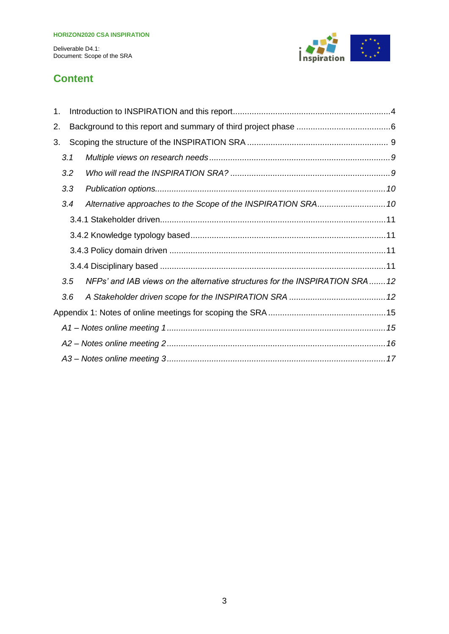

## **Content**

| 1. |     |  |                                                                              |  |
|----|-----|--|------------------------------------------------------------------------------|--|
| 2. |     |  |                                                                              |  |
| 3. |     |  |                                                                              |  |
|    | 3.1 |  |                                                                              |  |
|    | 3.2 |  |                                                                              |  |
|    | 3.3 |  |                                                                              |  |
|    | 3.4 |  |                                                                              |  |
|    |     |  |                                                                              |  |
|    |     |  |                                                                              |  |
|    |     |  |                                                                              |  |
|    |     |  |                                                                              |  |
|    | 3.5 |  | NFPs' and IAB views on the alternative structures for the INSPIRATION SRA 12 |  |
|    | 3.6 |  |                                                                              |  |
|    |     |  |                                                                              |  |
|    |     |  |                                                                              |  |
|    |     |  |                                                                              |  |
|    |     |  |                                                                              |  |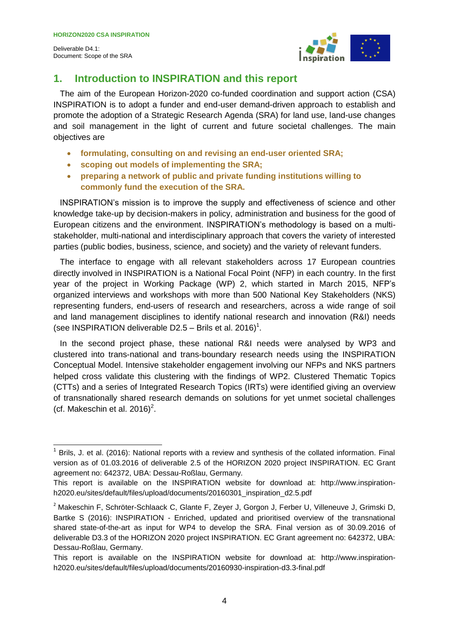

### <span id="page-3-0"></span>**1. Introduction to INSPIRATION and this report**

The aim of the European Horizon-2020 co-funded coordination and support action (CSA) INSPIRATION is to adopt a funder and end-user demand-driven approach to establish and promote the adoption of a Strategic Research Agenda (SRA) for land use, land-use changes and soil management in the light of current and future societal challenges. The main objectives are

- **formulating, consulting on and revising an end-user oriented SRA;**
- **scoping out models of implementing the SRA;**
- **preparing a network of public and private funding institutions willing to commonly fund the execution of the SRA.**

INSPIRATION's mission is to improve the supply and effectiveness of science and other knowledge take-up by decision-makers in policy, administration and business for the good of European citizens and the environment. INSPIRATION's methodology is based on a multistakeholder, multi-national and interdisciplinary approach that covers the variety of interested parties (public bodies, business, science, and society) and the variety of relevant funders.

The interface to engage with all relevant stakeholders across 17 European countries directly involved in INSPIRATION is a National Focal Point (NFP) in each country. In the first year of the project in Working Package (WP) 2, which started in March 2015, NFP's organized interviews and workshops with more than 500 National Key Stakeholders (NKS) representing funders, end-users of research and researchers, across a wide range of soil and land management disciplines to identify national research and innovation (R&I) needs (see INSPIRATION deliverable D2.5 – Brils et al. 2016)<sup>1</sup>.

In the second project phase, these national R&I needs were analysed by WP3 and clustered into trans-national and trans-boundary research needs using the INSPIRATION Conceptual Model. Intensive stakeholder engagement involving our NFPs and NKS partners helped cross validate this clustering with the findings of WP2. Clustered Thematic Topics (CTTs) and a series of Integrated Research Topics (IRTs) were identified giving an overview of transnationally shared research demands on solutions for yet unmet societal challenges (cf. Makeschin et al. 2016) $^2$ .

 1 Brils, J. et al. (2016): National reports with a review and synthesis of the collated information. Final version as of 01.03.2016 of deliverable 2.5 of the HORIZON 2020 project INSPIRATION. EC Grant agreement no: 642372, UBA: Dessau-Roßlau, Germany.

This report is available on the INSPIRATION website for download at: http://www.inspirationh2020.eu/sites/default/files/upload/documents/20160301\_inspiration\_d2.5.pdf

<sup>&</sup>lt;sup>2</sup> Makeschin F, Schröter-Schlaack C, Glante F, Zeyer J, Gorgon J, Ferber U, Villeneuve J, Grimski D, Bartke S (2016): INSPIRATION - Enriched, updated and prioritised overview of the transnational shared state-of-the-art as input for WP4 to develop the SRA. Final version as of 30.09.2016 of deliverable D3.3 of the HORIZON 2020 project INSPIRATION. EC Grant agreement no: 642372, UBA: Dessau-Roßlau, Germany.

This report is available on the INSPIRATION website for download at: http://www.inspirationh2020.eu/sites/default/files/upload/documents/20160930-inspiration-d3.3-final.pdf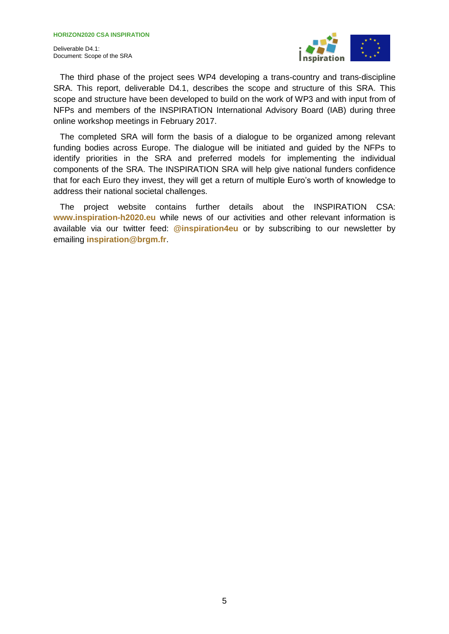

The third phase of the project sees WP4 developing a trans-country and trans-discipline SRA. This report, deliverable D4.1, describes the scope and structure of this SRA. This scope and structure have been developed to build on the work of WP3 and with input from of NFPs and members of the INSPIRATION International Advisory Board (IAB) during three online workshop meetings in February 2017.

The completed SRA will form the basis of a dialogue to be organized among relevant funding bodies across Europe. The dialogue will be initiated and guided by the NFPs to identify priorities in the SRA and preferred models for implementing the individual components of the SRA. The INSPIRATION SRA will help give national funders confidence that for each Euro they invest, they will get a return of multiple Euro's worth of knowledge to address their national societal challenges.

The project website contains further details about the INSPIRATION CSA: **www.inspiration-h2020.eu** while news of our activities and other relevant information is available via our twitter feed: **@inspiration4eu** or by subscribing to our newsletter by emailing **inspiration@brgm.fr**.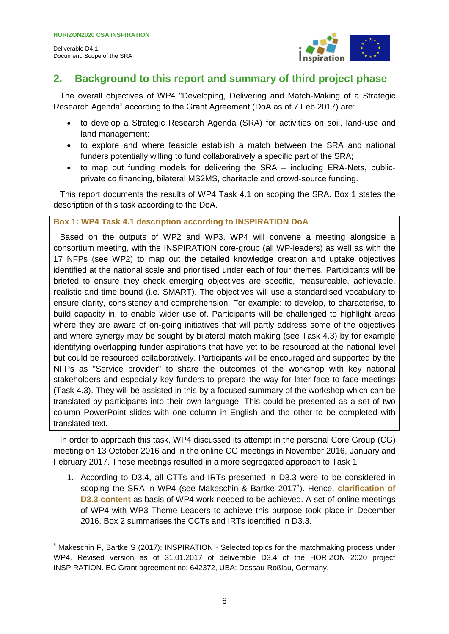

## <span id="page-5-0"></span>**2. Background to this report and summary of third project phase**

The overall objectives of WP4 "Developing, Delivering and Match-Making of a Strategic Research Agenda" according to the Grant Agreement (DoA as of 7 Feb 2017) are:

- to develop a Strategic Research Agenda (SRA) for activities on soil, land-use and land management;
- to explore and where feasible establish a match between the SRA and national funders potentially willing to fund collaboratively a specific part of the SRA;
- to map out funding models for delivering the SRA including ERA-Nets, publicprivate co financing, bilateral MS2MS, charitable and crowd-source funding.

This report documents the results of WP4 Task 4.1 on scoping the SRA. Box 1 states the description of this task according to the DoA.

#### **Box 1: WP4 Task 4.1 description according to INSPIRATION DoA**

Based on the outputs of WP2 and WP3, WP4 will convene a meeting alongside a consortium meeting, with the INSPIRATION core-group (all WP-leaders) as well as with the 17 NFPs (see WP2) to map out the detailed knowledge creation and uptake objectives identified at the national scale and prioritised under each of four themes. Participants will be briefed to ensure they check emerging objectives are specific, measureable, achievable, realistic and time bound (i.e. SMART). The objectives will use a standardised vocabulary to ensure clarity, consistency and comprehension. For example: to develop, to characterise, to build capacity in, to enable wider use of. Participants will be challenged to highlight areas where they are aware of on-going initiatives that will partly address some of the objectives and where synergy may be sought by bilateral match making (see Task 4.3) by for example identifying overlapping funder aspirations that have yet to be resourced at the national level but could be resourced collaboratively. Participants will be encouraged and supported by the NFPs as "Service provider" to share the outcomes of the workshop with key national stakeholders and especially key funders to prepare the way for later face to face meetings (Task 4.3). They will be assisted in this by a focused summary of the workshop which can be translated by participants into their own language. This could be presented as a set of two column PowerPoint slides with one column in English and the other to be completed with translated text.

In order to approach this task, WP4 discussed its attempt in the personal Core Group (CG) meeting on 13 October 2016 and in the online CG meetings in November 2016, January and February 2017. These meetings resulted in a more segregated approach to Task 1:

1. According to D3.4, all CTTs and IRTs presented in D3.3 were to be considered in scoping the SRA in WP4 (see Makeschin & Bartke 2017<sup>3</sup>). Hence, **clarification of D3.3 content** as basis of WP4 work needed to be achieved. A set of online meetings of WP4 with WP3 Theme Leaders to achieve this purpose took place in December 2016. Box 2 summarises the CCTs and IRTs identified in D3.3.

 <sup>3</sup> Makeschin F, Bartke S (2017): INSPIRATION - Selected topics for the matchmaking process under WP4. Revised version as of 31.01.2017 of deliverable D3.4 of the HORIZON 2020 project INSPIRATION. EC Grant agreement no: 642372, UBA: Dessau-Roßlau, Germany.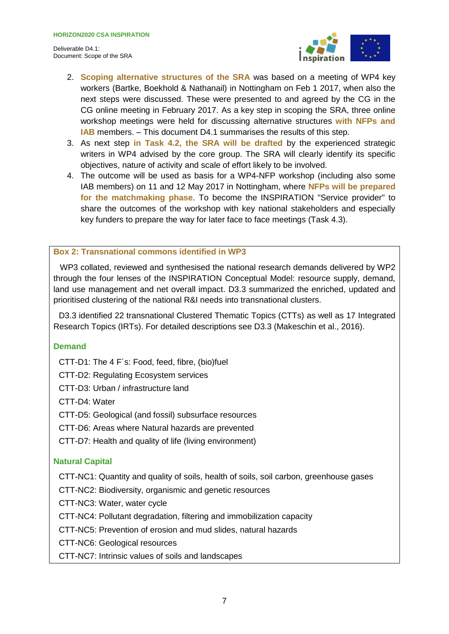

- 2. **Scoping alternative structures of the SRA** was based on a meeting of WP4 key workers (Bartke, Boekhold & Nathanail) in Nottingham on Feb 1 2017, when also the next steps were discussed. These were presented to and agreed by the CG in the CG online meeting in February 2017. As a key step in scoping the SRA, three online workshop meetings were held for discussing alternative structures **with NFPs and IAB** members. – This document D4.1 summarises the results of this step.
- 3. As next step **in Task 4.2, the SRA will be drafted** by the experienced strategic writers in WP4 advised by the core group. The SRA will clearly identify its specific objectives, nature of activity and scale of effort likely to be involved.
- 4. The outcome will be used as basis for a WP4-NFP workshop (including also some IAB members) on 11 and 12 May 2017 in Nottingham, where **NFPs will be prepared for the matchmaking phase**. To become the INSPIRATION "Service provider" to share the outcomes of the workshop with key national stakeholders and especially key funders to prepare the way for later face to face meetings (Task 4.3).

#### **Box 2: Transnational commons identified in WP3**

WP3 collated, reviewed and synthesised the national research demands delivered by WP2 through the four lenses of the INSPIRATION Conceptual Model: resource supply, demand, land use management and net overall impact. D3.3 summarized the enriched, updated and prioritised clustering of the national R&I needs into transnational clusters.

D3.3 identified 22 transnational Clustered Thematic Topics (CTTs) as well as 17 Integrated Research Topics (IRTs). For detailed descriptions see D3.3 (Makeschin et al., 2016).

#### **Demand**

CTT-D1: The 4 F´s: Food, feed, fibre, (bio)fuel

CTT-D2: Regulating Ecosystem services

CTT-D3: Urban / infrastructure land

CTT-D4: Water

CTT-D5: Geological (and fossil) subsurface resources

CTT-D6: Areas where Natural hazards are prevented

CTT-D7: Health and quality of life (living environment)

#### **Natural Capital**

CTT-NC1: Quantity and quality of soils, health of soils, soil carbon, greenhouse gases

CTT-NC2: Biodiversity, organismic and genetic resources

CTT-NC3: Water, water cycle

CTT-NC4: Pollutant degradation, filtering and immobilization capacity

CTT-NC5: Prevention of erosion and mud slides, natural hazards

CTT-NC6: Geological resources

CTT-NC7: Intrinsic values of soils and landscapes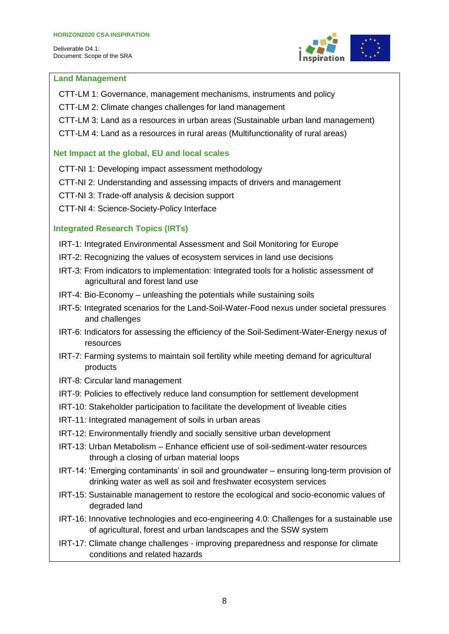

#### **Land Management**

- CTT-LM 1: Governance, management mechanisms, instruments and policy
- CTT-LM 2: Climate changes challenges for land management
- CTT-LM 3: Land as a resources in urban areas (Sustainable urban land management)
- CTT-LM 4: Land as a resources in rural areas (Multifunctionality of rural areas)

#### **Net Impact at the global, EU and local scales**

- CTT-NI 1: Developing impact assessment methodology
- CTT-NI 2: Understanding and assessing impacts of drivers and management
- CTT-NI 3: Trade-off analysis & decision support
- CTT-NI 4: Science-Society-Policy Interface

#### **Integrated Research Topics (IRTs)**

- IRT-1: Integrated Environmental Assessment and Soil Monitoring for Europe
- IRT-2: Recognizing the values of ecosystem services in land use decisions
- IRT-3: From indicators to implementation: Integrated tools for a holistic assessment of agricultural and forest land use
- IRT-4: Bio-Economy unleashing the potentials while sustaining soils
- IRT-5: Integrated scenarios for the Land-Soil-Water-Food nexus under societal pressures and challenges
- IRT-6: Indicators for assessing the efficiency of the Soil-Sediment-Water-Energy nexus of resources
- IRT-7: Farming systems to maintain soil fertility while meeting demand for agricultural products
- IRT-8: Circular land management
- IRT-9: Policies to effectively reduce land consumption for settlement development
- IRT-10: Stakeholder participation to facilitate the development of liveable cities
- IRT-11: Integrated management of soils in urban areas
- IRT-12: Environmentally friendly and socially sensitive urban development
- IRT-13: Urban Metabolism Enhance efficient use of soil-sediment-water resources through a closing of urban material loops
- IRT-14: 'Emerging contaminants' in soil and groundwater ensuring long-term provision of drinking water as well as soil and freshwater ecosystem services
- IRT-15: Sustainable management to restore the ecological and socio-economic values of degraded land
- IRT-16: Innovative technologies and eco-engineering 4.0: Challenges for a sustainable use of agricultural, forest and urban landscapes and the SSW system
- IRT-17: Climate change challenges improving preparedness and response for climate conditions and related hazards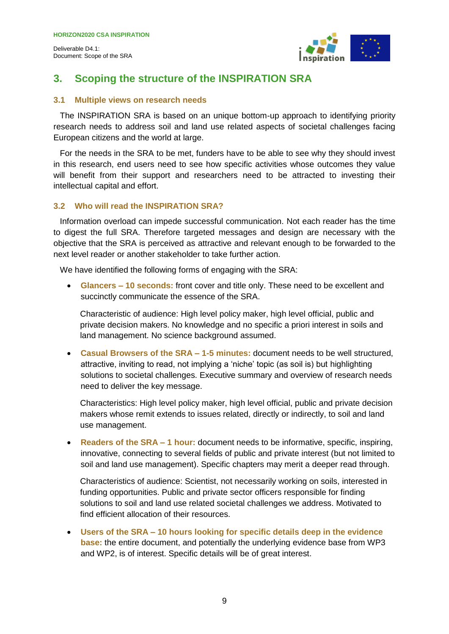<span id="page-8-0"></span>

## **3. Scoping the structure of the INSPIRATION SRA**

#### <span id="page-8-1"></span>**3.1 Multiple views on research needs**

The INSPIRATION SRA is based on an unique bottom-up approach to identifying priority research needs to address soil and land use related aspects of societal challenges facing European citizens and the world at large.

For the needs in the SRA to be met, funders have to be able to see why they should invest in this research, end users need to see how specific activities whose outcomes they value will benefit from their support and researchers need to be attracted to investing their intellectual capital and effort.

#### <span id="page-8-2"></span>**3.2 Who will read the INSPIRATION SRA?**

Information overload can impede successful communication. Not each reader has the time to digest the full SRA. Therefore targeted messages and design are necessary with the objective that the SRA is perceived as attractive and relevant enough to be forwarded to the next level reader or another stakeholder to take further action.

We have identified the following forms of engaging with the SRA:

 **Glancers – 10 seconds:** front cover and title only. These need to be excellent and succinctly communicate the essence of the SRA.

Characteristic of audience: High level policy maker, high level official, public and private decision makers. No knowledge and no specific a priori interest in soils and land management. No science background assumed.

 **Casual Browsers of the SRA – 1-5 minutes:** document needs to be well structured, attractive, inviting to read, not implying a 'niche' topic (as soil is) but highlighting solutions to societal challenges. Executive summary and overview of research needs need to deliver the key message.

Characteristics: High level policy maker, high level official, public and private decision makers whose remit extends to issues related, directly or indirectly, to soil and land use management.

 **Readers of the SRA – 1 hour:** document needs to be informative, specific, inspiring, innovative, connecting to several fields of public and private interest (but not limited to soil and land use management). Specific chapters may merit a deeper read through.

Characteristics of audience: Scientist, not necessarily working on soils, interested in funding opportunities. Public and private sector officers responsible for finding solutions to soil and land use related societal challenges we address. Motivated to find efficient allocation of their resources.

 **Users of the SRA – 10 hours looking for specific details deep in the evidence base:** the entire document, and potentially the underlying evidence base from WP3 and WP2, is of interest. Specific details will be of great interest.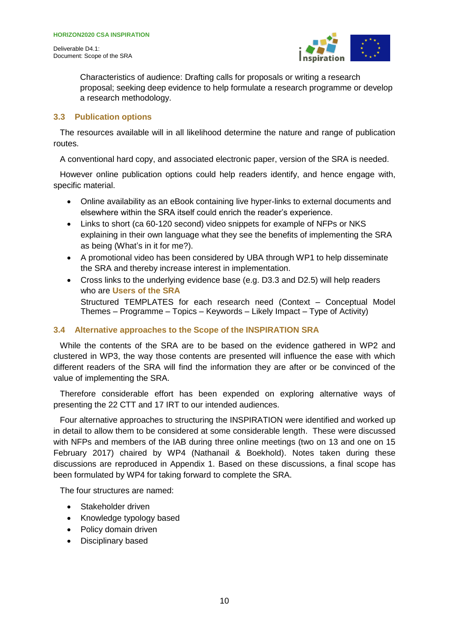Document: Scope of the SRA



Characteristics of audience: Drafting calls for proposals or writing a research proposal; seeking deep evidence to help formulate a research programme or develop a research methodology.

#### <span id="page-9-0"></span>**3.3 Publication options**

The resources available will in all likelihood determine the nature and range of publication routes.

A conventional hard copy, and associated electronic paper, version of the SRA is needed.

However online publication options could help readers identify, and hence engage with, specific material.

- Online availability as an eBook containing live hyper-links to external documents and elsewhere within the SRA itself could enrich the reader's experience.
- Links to short (ca 60-120 second) video snippets for example of NFPs or NKS explaining in their own language what they see the benefits of implementing the SRA as being (What's in it for me?).
- A promotional video has been considered by UBA through WP1 to help disseminate the SRA and thereby increase interest in implementation.
- Cross links to the underlying evidence base (e.g. D3.3 and D2.5) will help readers who are **Users of the SRA** Structured TEMPLATES for each research need (Context – Conceptual Model Themes – Programme – Topics – Keywords – Likely Impact – Type of Activity)

#### <span id="page-9-1"></span>**3.4 Alternative approaches to the Scope of the INSPIRATION SRA**

While the contents of the SRA are to be based on the evidence gathered in WP2 and clustered in WP3, the way those contents are presented will influence the ease with which different readers of the SRA will find the information they are after or be convinced of the value of implementing the SRA.

Therefore considerable effort has been expended on exploring alternative ways of presenting the 22 CTT and 17 IRT to our intended audiences.

Four alternative approaches to structuring the INSPIRATION were identified and worked up in detail to allow them to be considered at some considerable length. These were discussed with NFPs and members of the IAB during three online meetings (two on 13 and one on 15 February 2017) chaired by WP4 (Nathanail & Boekhold). Notes taken during these discussions are reproduced in Appendix 1. Based on these discussions, a final scope has been formulated by WP4 for taking forward to complete the SRA.

The four structures are named:

- Stakeholder driven
- Knowledge typology based
- Policy domain driven
- Disciplinary based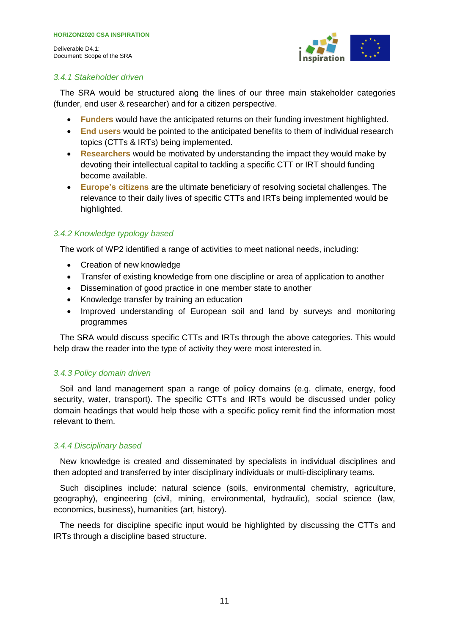

#### <span id="page-10-0"></span>*3.4.1 Stakeholder driven*

The SRA would be structured along the lines of our three main stakeholder categories (funder, end user & researcher) and for a citizen perspective.

- **Funders** would have the anticipated returns on their funding investment highlighted.
- **End users** would be pointed to the anticipated benefits to them of individual research topics (CTTs & IRTs) being implemented.
- **Researchers** would be motivated by understanding the impact they would make by devoting their intellectual capital to tackling a specific CTT or IRT should funding become available.
- **Europe's citizens** are the ultimate beneficiary of resolving societal challenges. The relevance to their daily lives of specific CTTs and IRTs being implemented would be highlighted.

#### <span id="page-10-1"></span>*3.4.2 Knowledge typology based*

The work of WP2 identified a range of activities to meet national needs, including:

- Creation of new knowledge
- Transfer of existing knowledge from one discipline or area of application to another
- Dissemination of good practice in one member state to another
- Knowledge transfer by training an education
- Improved understanding of European soil and land by surveys and monitoring programmes

The SRA would discuss specific CTTs and IRTs through the above categories. This would help draw the reader into the type of activity they were most interested in.

#### <span id="page-10-2"></span>*3.4.3 Policy domain driven*

Soil and land management span a range of policy domains (e.g. climate, energy, food security, water, transport). The specific CTTs and IRTs would be discussed under policy domain headings that would help those with a specific policy remit find the information most relevant to them.

#### <span id="page-10-3"></span>*3.4.4 Disciplinary based*

New knowledge is created and disseminated by specialists in individual disciplines and then adopted and transferred by inter disciplinary individuals or multi-disciplinary teams.

Such disciplines include: natural science (soils, environmental chemistry, agriculture, geography), engineering (civil, mining, environmental, hydraulic), social science (law, economics, business), humanities (art, history).

The needs for discipline specific input would be highlighted by discussing the CTTs and IRTs through a discipline based structure.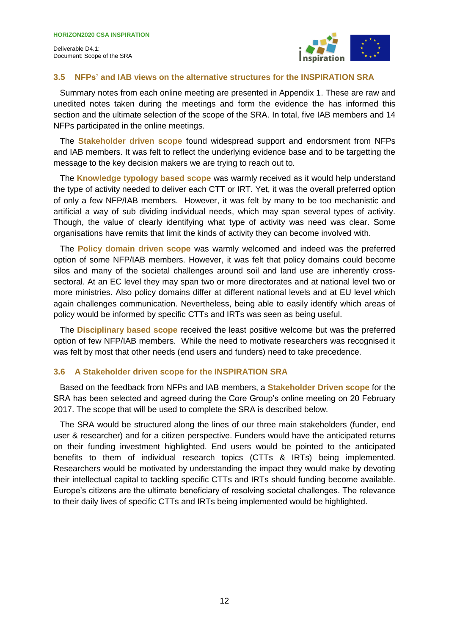

#### <span id="page-11-0"></span>**3.5 NFPs' and IAB views on the alternative structures for the INSPIRATION SRA**

Summary notes from each online meeting are presented in Appendix 1. These are raw and unedited notes taken during the meetings and form the evidence the has informed this section and the ultimate selection of the scope of the SRA. In total, five IAB members and 14 NFPs participated in the online meetings.

The **Stakeholder driven scope** found widespread support and endorsment from NFPs and IAB members. It was felt to reflect the underlying evidence base and to be targetting the message to the key decision makers we are trying to reach out to.

The **Knowledge typology based scope** was warmly received as it would help understand the type of activity needed to deliver each CTT or IRT. Yet, it was the overall preferred option of only a few NFP/IAB members. However, it was felt by many to be too mechanistic and artificial a way of sub dividing individual needs, which may span several types of activity. Though, the value of clearly identifying what type of activity was need was clear. Some organisations have remits that limit the kinds of activity they can become involved with.

The **Policy domain driven scope** was warmly welcomed and indeed was the preferred option of some NFP/IAB members. However, it was felt that policy domains could become silos and many of the societal challenges around soil and land use are inherently crosssectoral. At an EC level they may span two or more directorates and at national level two or more ministries. Also policy domains differ at different national levels and at EU level which again challenges communication. Nevertheless, being able to easily identify which areas of policy would be informed by specific CTTs and IRTs was seen as being useful.

The **Disciplinary based scope** received the least positive welcome but was the preferred option of few NFP/IAB members. While the need to motivate researchers was recognised it was felt by most that other needs (end users and funders) need to take precedence.

#### <span id="page-11-1"></span>**3.6 A Stakeholder driven scope for the INSPIRATION SRA**

Based on the feedback from NFPs and IAB members, a **Stakeholder Driven scope** for the SRA has been selected and agreed during the Core Group's online meeting on 20 February 2017. The scope that will be used to complete the SRA is described below.

The SRA would be structured along the lines of our three main stakeholders (funder, end user & researcher) and for a citizen perspective. Funders would have the anticipated returns on their funding investment highlighted. End users would be pointed to the anticipated benefits to them of individual research topics (CTTs & IRTs) being implemented. Researchers would be motivated by understanding the impact they would make by devoting their intellectual capital to tackling specific CTTs and IRTs should funding become available. Europe's citizens are the ultimate beneficiary of resolving societal challenges. The relevance to their daily lives of specific CTTs and IRTs being implemented would be highlighted.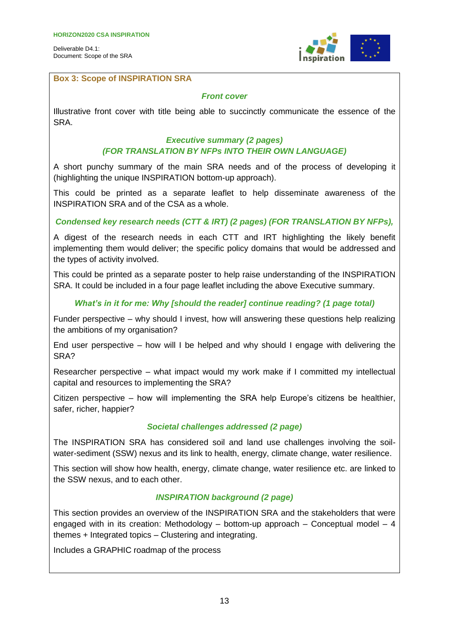

#### **Box 3: Scope of INSPIRATION SRA**

#### *Front cover*

Illustrative front cover with title being able to succinctly communicate the essence of the SRA.

#### *Executive summary (2 pages) (FOR TRANSLATION BY NFPs INTO THEIR OWN LANGUAGE)*

A short punchy summary of the main SRA needs and of the process of developing it (highlighting the unique INSPIRATION bottom-up approach).

This could be printed as a separate leaflet to help disseminate awareness of the INSPIRATION SRA and of the CSA as a whole.

#### *Condensed key research needs (CTT & IRT) (2 pages) (FOR TRANSLATION BY NFPs),*

A digest of the research needs in each CTT and IRT highlighting the likely benefit implementing them would deliver; the specific policy domains that would be addressed and the types of activity involved.

This could be printed as a separate poster to help raise understanding of the INSPIRATION SRA. It could be included in a four page leaflet including the above Executive summary.

#### *What's in it for me: Why [should the reader] continue reading? (1 page total)*

Funder perspective – why should I invest, how will answering these questions help realizing the ambitions of my organisation?

End user perspective – how will I be helped and why should I engage with delivering the SRA?

Researcher perspective – what impact would my work make if I committed my intellectual capital and resources to implementing the SRA?

Citizen perspective – how will implementing the SRA help Europe's citizens be healthier, safer, richer, happier?

#### *Societal challenges addressed (2 page)*

The INSPIRATION SRA has considered soil and land use challenges involving the soilwater-sediment (SSW) nexus and its link to health, energy, climate change, water resilience.

This section will show how health, energy, climate change, water resilience etc. are linked to the SSW nexus, and to each other.

#### *INSPIRATION background (2 page)*

This section provides an overview of the INSPIRATION SRA and the stakeholders that were engaged with in its creation: Methodology  $-$  bottom-up approach  $-$  Conceptual model  $-4$ themes + Integrated topics – Clustering and integrating.

Includes a GRAPHIC roadmap of the process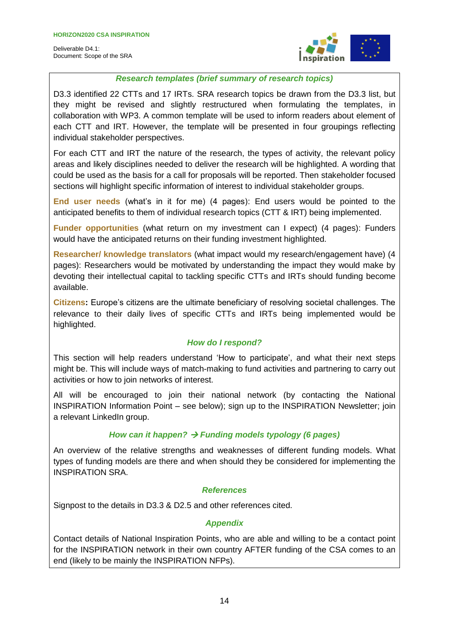

#### *Research templates (brief summary of research topics)*

D3.3 identified 22 CTTs and 17 IRTs. SRA research topics be drawn from the D3.3 list, but they might be revised and slightly restructured when formulating the templates, in collaboration with WP3. A common template will be used to inform readers about element of each CTT and IRT. However, the template will be presented in four groupings reflecting individual stakeholder perspectives.

For each CTT and IRT the nature of the research, the types of activity, the relevant policy areas and likely disciplines needed to deliver the research will be highlighted. A wording that could be used as the basis for a call for proposals will be reported. Then stakeholder focused sections will highlight specific information of interest to individual stakeholder groups.

**End user needs** (what's in it for me) (4 pages): End users would be pointed to the anticipated benefits to them of individual research topics (CTT & IRT) being implemented.

**Funder opportunities** (what return on my investment can I expect) (4 pages): Funders would have the anticipated returns on their funding investment highlighted.

**Researcher/ knowledge translators** (what impact would my research/engagement have) (4 pages): Researchers would be motivated by understanding the impact they would make by devoting their intellectual capital to tackling specific CTTs and IRTs should funding become available.

**Citizens:** Europe's citizens are the ultimate beneficiary of resolving societal challenges. The relevance to their daily lives of specific CTTs and IRTs being implemented would be highlighted.

#### *How do I respond?*

This section will help readers understand 'How to participate', and what their next steps might be. This will include ways of match-making to fund activities and partnering to carry out activities or how to join networks of interest.

All will be encouraged to join their national network (by contacting the National INSPIRATION Information Point – see below); sign up to the INSPIRATION Newsletter; join a relevant LinkedIn group.

#### *How can it happen? Funding models typology (6 pages)*

An overview of the relative strengths and weaknesses of different funding models. What types of funding models are there and when should they be considered for implementing the INSPIRATION SRA.

#### *References*

Signpost to the details in D3.3 & D2.5 and other references cited.

#### *Appendix*

Contact details of National Inspiration Points, who are able and willing to be a contact point for the INSPIRATION network in their own country AFTER funding of the CSA comes to an end (likely to be mainly the INSPIRATION NFPs).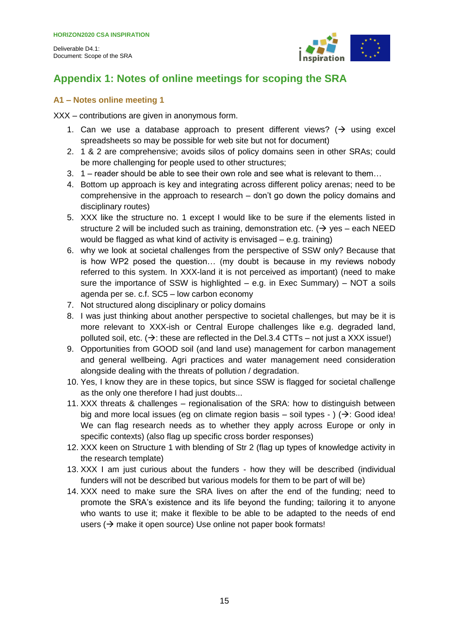

## <span id="page-14-0"></span>**Appendix 1: Notes of online meetings for scoping the SRA**

#### <span id="page-14-1"></span>**A1 – Notes online meeting 1**

XXX – contributions are given in anonymous form.

- 1. Can we use a database approach to present different views?  $\rightarrow$  using excel spreadsheets so may be possible for web site but not for document)
- 2. 1 & 2 are comprehensive; avoids silos of policy domains seen in other SRAs; could be more challenging for people used to other structures;
- 3. 1 reader should be able to see their own role and see what is relevant to them…
- 4. Bottom up approach is key and integrating across different policy arenas; need to be comprehensive in the approach to research – don't go down the policy domains and disciplinary routes)
- 5. XXX like the structure no. 1 except I would like to be sure if the elements listed in structure 2 will be included such as training, demonstration etc. ( $\rightarrow$  yes – each NEED would be flagged as what kind of activity is envisaged – e.g. training)
- 6. why we look at societal challenges from the perspective of SSW only? Because that is how WP2 posed the question… (my doubt is because in my reviews nobody referred to this system. In XXX-land it is not perceived as important) (need to make sure the importance of SSW is highlighted  $-$  e.g. in Exec Summary)  $-$  NOT a soils agenda per se. c.f. SC5 – low carbon economy
- 7. Not structured along disciplinary or policy domains
- 8. I was just thinking about another perspective to societal challenges, but may be it is more relevant to XXX-ish or Central Europe challenges like e.g. degraded land, polluted soil, etc.  $(\rightarrow)$ : these are reflected in the Del.3.4 CTTs – not just a XXX issue!)
- 9. Opportunities from GOOD soil (and land use) management for carbon management and general wellbeing. Agri practices and water management need consideration alongside dealing with the threats of pollution / degradation.
- 10. Yes, I know they are in these topics, but since SSW is flagged for societal challenge as the only one therefore I had just doubts...
- 11. XXX threats & challenges regionalisation of the SRA: how to distinguish between big and more local issues (eg on climate region basis – soil types - ) ( $\rightarrow$ : Good idea! We can flag research needs as to whether they apply across Europe or only in specific contexts) (also flag up specific cross border responses)
- 12. XXX keen on Structure 1 with blending of Str 2 (flag up types of knowledge activity in the research template)
- 13. XXX I am just curious about the funders how they will be described (individual funders will not be described but various models for them to be part of will be)
- 14. XXX need to make sure the SRA lives on after the end of the funding; need to promote the SRA's existence and its life beyond the funding; tailoring it to anyone who wants to use it; make it flexible to be able to be adapted to the needs of end users  $($   $\rightarrow$  make it open source) Use online not paper book formats!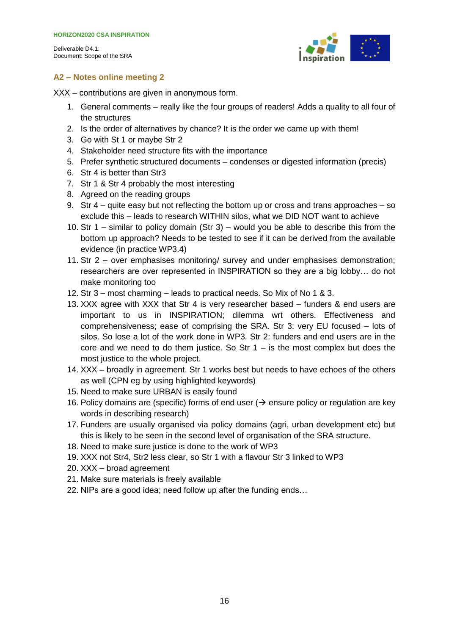

#### <span id="page-15-0"></span>**A2 – Notes online meeting 2**

XXX – contributions are given in anonymous form.

- 1. General comments really like the four groups of readers! Adds a quality to all four of the structures
- 2. Is the order of alternatives by chance? It is the order we came up with them!
- 3. Go with St 1 or maybe Str 2
- 4. Stakeholder need structure fits with the importance
- 5. Prefer synthetic structured documents condenses or digested information (precis)
- 6. Str 4 is better than Str3
- 7. Str 1 & Str 4 probably the most interesting
- 8. Agreed on the reading groups
- 9. Str 4 quite easy but not reflecting the bottom up or cross and trans approaches so exclude this – leads to research WITHIN silos, what we DID NOT want to achieve
- 10. Str 1 similar to policy domain (Str 3) would you be able to describe this from the bottom up approach? Needs to be tested to see if it can be derived from the available evidence (in practice WP3.4)
- 11. Str 2 over emphasises monitoring/ survey and under emphasises demonstration; researchers are over represented in INSPIRATION so they are a big lobby… do not make monitoring too
- 12. Str 3 most charming leads to practical needs. So Mix of No 1 & 3.
- 13. XXX agree with XXX that Str 4 is very researcher based funders & end users are important to us in INSPIRATION; dilemma wrt others. Effectiveness and comprehensiveness; ease of comprising the SRA. Str 3: very EU focused – lots of silos. So lose a lot of the work done in WP3. Str 2: funders and end users are in the core and we need to do them justice. So Str  $1 -$  is the most complex but does the most justice to the whole project.
- 14. XXX broadly in agreement. Str 1 works best but needs to have echoes of the others as well (CPN eg by using highlighted keywords)
- 15. Need to make sure URBAN is easily found
- 16. Policy domains are (specific) forms of end user ( $\rightarrow$  ensure policy or regulation are key words in describing research)
- 17. Funders are usually organised via policy domains (agri, urban development etc) but this is likely to be seen in the second level of organisation of the SRA structure.
- 18. Need to make sure justice is done to the work of WP3
- 19. XXX not Str4, Str2 less clear, so Str 1 with a flavour Str 3 linked to WP3
- 20. XXX broad agreement
- 21. Make sure materials is freely available
- 22. NIPs are a good idea; need follow up after the funding ends…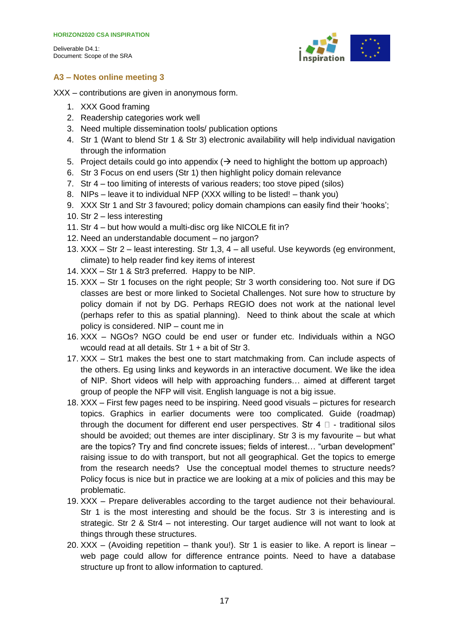

#### <span id="page-16-0"></span>**A3 – Notes online meeting 3**

XXX – contributions are given in anonymous form.

- 1. XXX Good framing
- 2. Readership categories work well
- 3. Need multiple dissemination tools/ publication options
- 4. Str 1 (Want to blend Str 1 & Str 3) electronic availability will help individual navigation through the information
- 5. Project details could go into appendix  $(\rightarrow)$  need to highlight the bottom up approach)
- 6. Str 3 Focus on end users (Str 1) then highlight policy domain relevance
- 7. Str 4 too limiting of interests of various readers; too stove piped (silos)
- 8. NIPs leave it to individual NFP (XXX willing to be listed! thank you)
- 9. XXX Str 1 and Str 3 favoured; policy domain champions can easily find their 'hooks';
- 10. Str 2 less interesting
- 11. Str 4 but how would a multi-disc org like NICOLE fit in?
- 12. Need an understandable document no jargon?
- 13. XXX Str 2 least interesting. Str 1,3, 4 all useful. Use keywords (eg environment, climate) to help reader find key items of interest
- 14. XXX Str 1 & Str3 preferred. Happy to be NIP.
- 15. XXX Str 1 focuses on the right people; Str 3 worth considering too. Not sure if DG classes are best or more linked to Societal Challenges. Not sure how to structure by policy domain if not by DG. Perhaps REGIO does not work at the national level (perhaps refer to this as spatial planning). Need to think about the scale at which policy is considered. NIP – count me in
- 16. XXX NGOs? NGO could be end user or funder etc. Individuals within a NGO wcould read at all details. Str 1 + a bit of Str 3.
- 17. XXX Str1 makes the best one to start matchmaking from. Can include aspects of the others. Eg using links and keywords in an interactive document. We like the idea of NIP. Short videos will help with approaching funders… aimed at different target group of people the NFP will visit. English language is not a big issue.
- 18. XXX First few pages need to be inspiring. Need good visuals pictures for research topics. Graphics in earlier documents were too complicated. Guide (roadmap) through the document for different end user perspectives. Str 4  $\Box$  - traditional silos should be avoided; out themes are inter disciplinary. Str 3 is my favourite – but what are the topics? Try and find concrete issues; fields of interest… "urban development" raising issue to do with transport, but not all geographical. Get the topics to emerge from the research needs? Use the conceptual model themes to structure needs? Policy focus is nice but in practice we are looking at a mix of policies and this may be problematic.
- 19. XXX Prepare deliverables according to the target audience not their behavioural. Str 1 is the most interesting and should be the focus. Str 3 is interesting and is strategic. Str 2 & Str4 – not interesting. Our target audience will not want to look at things through these structures.
- 20. XXX (Avoiding repetition thank you!). Str 1 is easier to like. A report is linear web page could allow for difference entrance points. Need to have a database structure up front to allow information to captured.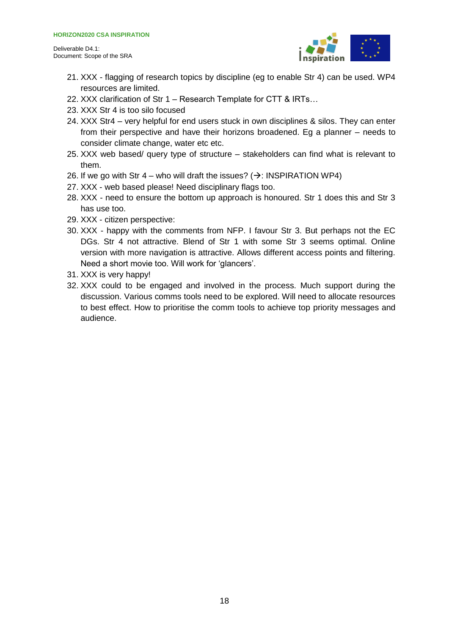

- 21. XXX flagging of research topics by discipline (eg to enable Str 4) can be used. WP4 resources are limited.
- 22. XXX clarification of Str 1 Research Template for CTT & IRTs…
- 23. XXX Str 4 is too silo focused
- 24. XXX Str4 very helpful for end users stuck in own disciplines & silos. They can enter from their perspective and have their horizons broadened. Eg a planner – needs to consider climate change, water etc etc.
- 25. XXX web based/ query type of structure stakeholders can find what is relevant to them.
- 26. If we go with Str 4 who will draft the issues?  $(\rightarrow$ : INSPIRATION WP4)
- 27. XXX web based please! Need disciplinary flags too.
- 28. XXX need to ensure the bottom up approach is honoured. Str 1 does this and Str 3 has use too.
- 29. XXX citizen perspective:
- 30. XXX happy with the comments from NFP. I favour Str 3. But perhaps not the EC DGs. Str 4 not attractive. Blend of Str 1 with some Str 3 seems optimal. Online version with more navigation is attractive. Allows different access points and filtering. Need a short movie too. Will work for 'glancers'.
- 31. XXX is very happy!
- 32. XXX could to be engaged and involved in the process. Much support during the discussion. Various comms tools need to be explored. Will need to allocate resources to best effect. How to prioritise the comm tools to achieve top priority messages and audience.